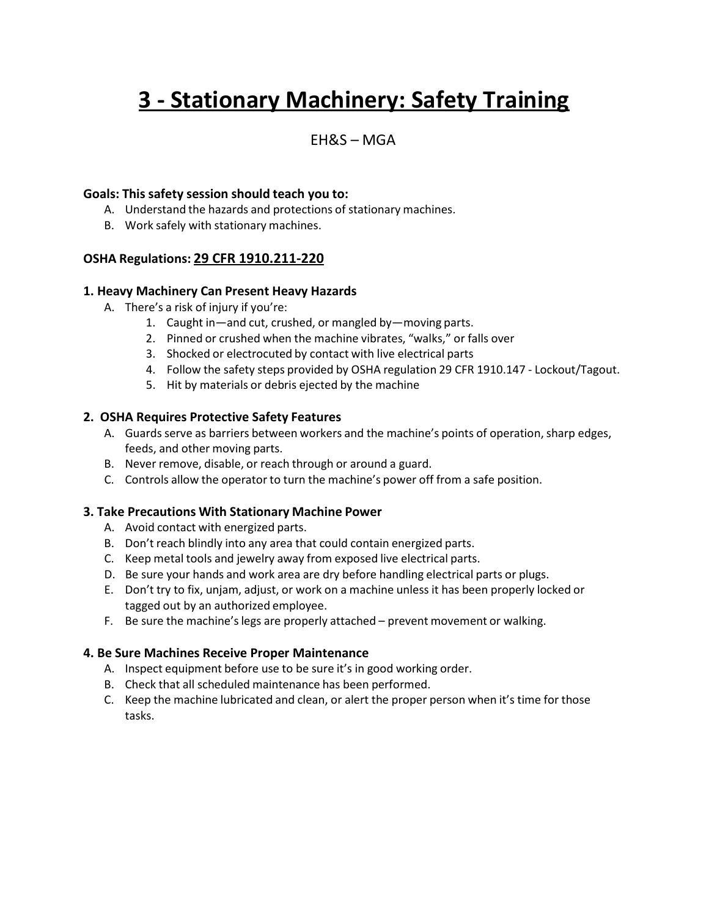# **3 - Stationary Machinery: Safety Training**

# EH&S – MGA

# **Goals: This safety session should teach you to:**

- A. Understand the hazards and protections of stationary machines.
- B. Work safely with stationary machines.

# **OSHA Regulations: 29 CFR 1910.211-220**

### **1. Heavy Machinery Can Present Heavy Hazards**

- A. There's a risk of injury if you're:
	- 1. Caught in—and cut, crushed, or mangled by—moving parts.
	- 2. Pinned or crushed when the machine vibrates, "walks," or falls over
	- 3. Shocked or electrocuted by contact with live electrical parts
	- 4. Follow the safety steps provided by OSHA regulation 29 CFR 1910.147 Lockout/Tagout.
	- 5. Hit by materials or debris ejected by the machine

### **2. OSHA Requires Protective Safety Features**

- A. Guards serve as barriers between workers and the machine's points of operation, sharp edges, feeds, and other moving parts.
- B. Never remove, disable, or reach through or around a guard.
- C. Controls allow the operator to turn the machine's power off from a safe position.

# **3. Take Precautions With Stationary Machine Power**

- A. Avoid contact with energized parts.
- B. Don't reach blindly into any area that could contain energized parts.
- C. Keep metal tools and jewelry away from exposed live electrical parts.
- D. Be sure your hands and work area are dry before handling electrical parts or plugs.
- E. Don't try to fix, unjam, adjust, or work on a machine unless it has been properly locked or tagged out by an authorized employee.
- F. Be sure the machine's legs are properly attached prevent movement or walking.

### **4. Be Sure Machines Receive Proper Maintenance**

- A. Inspect equipment before use to be sure it's in good working order.
- B. Check that all scheduled maintenance has been performed.
- C. Keep the machine lubricated and clean, or alert the proper person when it's time for those tasks.